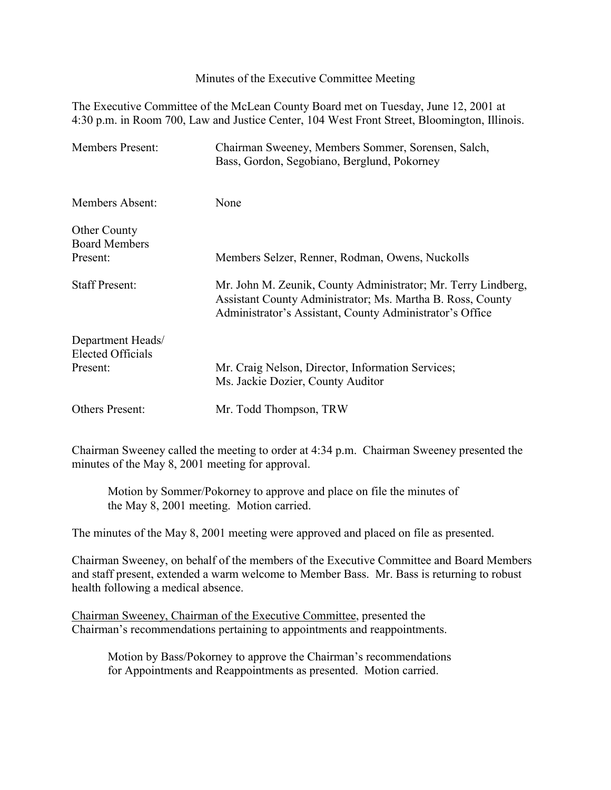Minutes of the Executive Committee Meeting

The Executive Committee of the McLean County Board met on Tuesday, June 12, 2001 at 4:30 p.m. in Room 700, Law and Justice Center, 104 West Front Street, Bloomington, Illinois.

| <b>Members Present:</b>                                   | Chairman Sweeney, Members Sommer, Sorensen, Salch,<br>Bass, Gordon, Segobiano, Berglund, Pokorney                                                                                       |
|-----------------------------------------------------------|-----------------------------------------------------------------------------------------------------------------------------------------------------------------------------------------|
| Members Absent:                                           | None                                                                                                                                                                                    |
| <b>Other County</b><br><b>Board Members</b><br>Present:   | Members Selzer, Renner, Rodman, Owens, Nuckolls                                                                                                                                         |
| <b>Staff Present:</b>                                     | Mr. John M. Zeunik, County Administrator; Mr. Terry Lindberg,<br>Assistant County Administrator; Ms. Martha B. Ross, County<br>Administrator's Assistant, County Administrator's Office |
| Department Heads/<br><b>Elected Officials</b><br>Present: | Mr. Craig Nelson, Director, Information Services;<br>Ms. Jackie Dozier, County Auditor                                                                                                  |
| <b>Others Present:</b>                                    | Mr. Todd Thompson, TRW                                                                                                                                                                  |

Chairman Sweeney called the meeting to order at 4:34 p.m. Chairman Sweeney presented the minutes of the May 8, 2001 meeting for approval.

Motion by Sommer/Pokorney to approve and place on file the minutes of the May 8, 2001 meeting. Motion carried.

The minutes of the May 8, 2001 meeting were approved and placed on file as presented.

Chairman Sweeney, on behalf of the members of the Executive Committee and Board Members and staff present, extended a warm welcome to Member Bass. Mr. Bass is returning to robust health following a medical absence.

Chairman Sweeney, Chairman of the Executive Committee, presented the Chairman's recommendations pertaining to appointments and reappointments.

Motion by Bass/Pokorney to approve the Chairman's recommendations for Appointments and Reappointments as presented. Motion carried.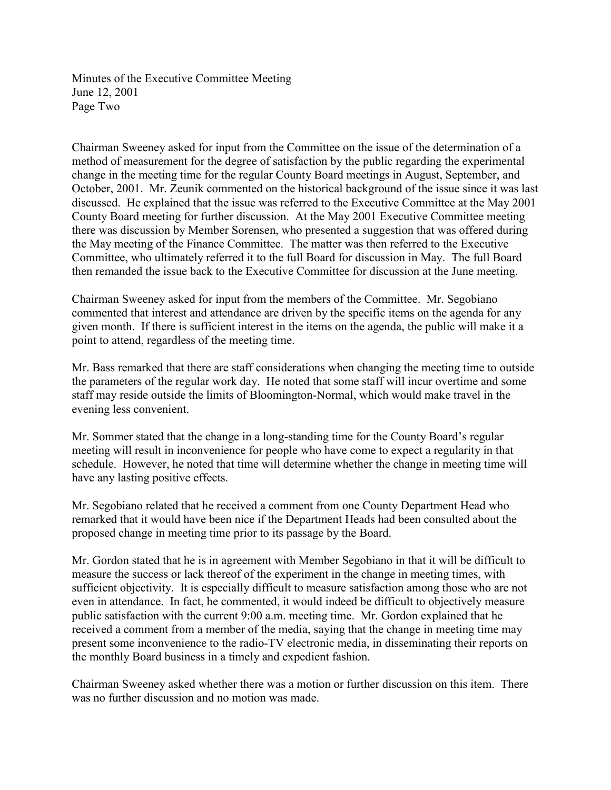Minutes of the Executive Committee Meeting June 12, 2001 Page Two

Chairman Sweeney asked for input from the Committee on the issue of the determination of a method of measurement for the degree of satisfaction by the public regarding the experimental change in the meeting time for the regular County Board meetings in August, September, and October, 2001. Mr. Zeunik commented on the historical background of the issue since it was last discussed. He explained that the issue was referred to the Executive Committee at the May 2001 County Board meeting for further discussion. At the May 2001 Executive Committee meeting there was discussion by Member Sorensen, who presented a suggestion that was offered during the May meeting of the Finance Committee. The matter was then referred to the Executive Committee, who ultimately referred it to the full Board for discussion in May. The full Board then remanded the issue back to the Executive Committee for discussion at the June meeting.

Chairman Sweeney asked for input from the members of the Committee. Mr. Segobiano commented that interest and attendance are driven by the specific items on the agenda for any given month. If there is sufficient interest in the items on the agenda, the public will make it a point to attend, regardless of the meeting time.

Mr. Bass remarked that there are staff considerations when changing the meeting time to outside the parameters of the regular work day. He noted that some staff will incur overtime and some staff may reside outside the limits of Bloomington-Normal, which would make travel in the evening less convenient.

Mr. Sommer stated that the change in a long-standing time for the County Board's regular meeting will result in inconvenience for people who have come to expect a regularity in that schedule. However, he noted that time will determine whether the change in meeting time will have any lasting positive effects.

Mr. Segobiano related that he received a comment from one County Department Head who remarked that it would have been nice if the Department Heads had been consulted about the proposed change in meeting time prior to its passage by the Board.

Mr. Gordon stated that he is in agreement with Member Segobiano in that it will be difficult to measure the success or lack thereof of the experiment in the change in meeting times, with sufficient objectivity. It is especially difficult to measure satisfaction among those who are not even in attendance. In fact, he commented, it would indeed be difficult to objectively measure public satisfaction with the current 9:00 a.m. meeting time. Mr. Gordon explained that he received a comment from a member of the media, saying that the change in meeting time may present some inconvenience to the radio-TV electronic media, in disseminating their reports on the monthly Board business in a timely and expedient fashion.

Chairman Sweeney asked whether there was a motion or further discussion on this item. There was no further discussion and no motion was made.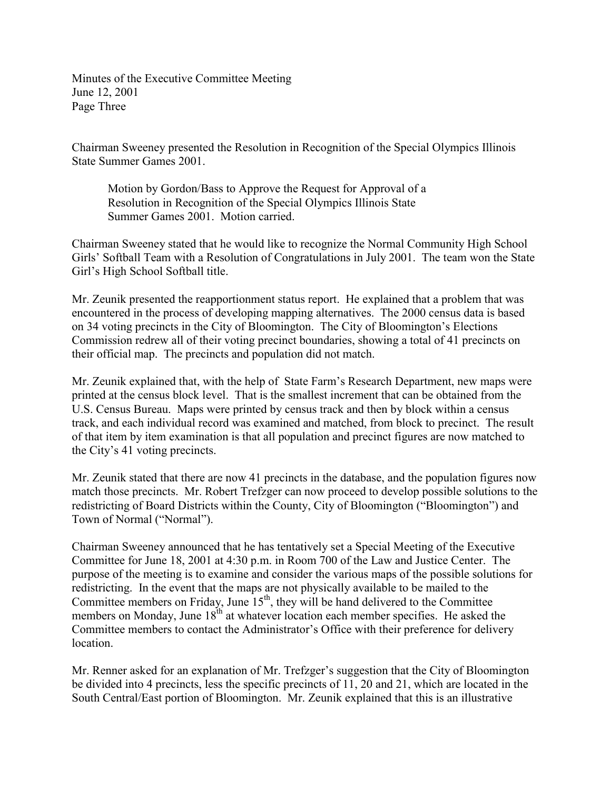Minutes of the Executive Committee Meeting June 12, 2001 Page Three

Chairman Sweeney presented the Resolution in Recognition of the Special Olympics Illinois State Summer Games 2001.

Motion by Gordon/Bass to Approve the Request for Approval of a Resolution in Recognition of the Special Olympics Illinois State Summer Games 2001. Motion carried.

Chairman Sweeney stated that he would like to recognize the Normal Community High School Girls' Softball Team with a Resolution of Congratulations in July 2001. The team won the State Girl's High School Softball title.

Mr. Zeunik presented the reapportionment status report. He explained that a problem that was encountered in the process of developing mapping alternatives. The 2000 census data is based on 34 voting precincts in the City of Bloomington. The City of Bloomington's Elections Commission redrew all of their voting precinct boundaries, showing a total of 41 precincts on their official map. The precincts and population did not match.

Mr. Zeunik explained that, with the help of State Farm's Research Department, new maps were printed at the census block level. That is the smallest increment that can be obtained from the U.S. Census Bureau. Maps were printed by census track and then by block within a census track, and each individual record was examined and matched, from block to precinct. The result of that item by item examination is that all population and precinct figures are now matched to the City's 41 voting precincts.

Mr. Zeunik stated that there are now 41 precincts in the database, and the population figures now match those precincts. Mr. Robert Trefzger can now proceed to develop possible solutions to the redistricting of Board Districts within the County, City of Bloomington ("Bloomington") and Town of Normal ("Normal").

Chairman Sweeney announced that he has tentatively set a Special Meeting of the Executive Committee for June 18, 2001 at 4:30 p.m. in Room 700 of the Law and Justice Center. The purpose of the meeting is to examine and consider the various maps of the possible solutions for redistricting. In the event that the maps are not physically available to be mailed to the Committee members on Friday, June  $15<sup>th</sup>$ , they will be hand delivered to the Committee members on Monday, June  $18<sup>th</sup>$  at whatever location each member specifies. He asked the Committee members to contact the Administrator's Office with their preference for delivery location.

Mr. Renner asked for an explanation of Mr. Trefzger's suggestion that the City of Bloomington be divided into 4 precincts, less the specific precincts of 11, 20 and 21, which are located in the South Central/East portion of Bloomington. Mr. Zeunik explained that this is an illustrative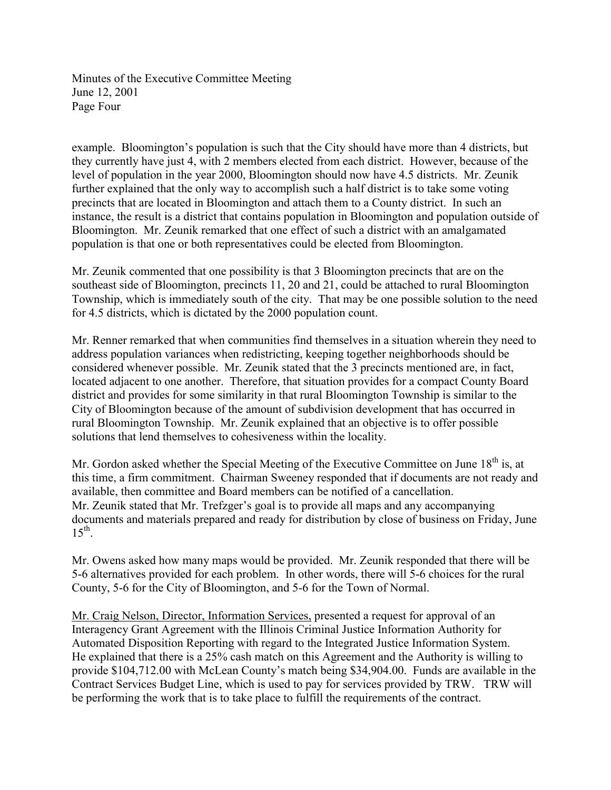Minutes of the Executive Committee Meeting June 12, 2001 Page Four

example. Bloomington's population is such that the City should have more than 4 districts, but they currently have just 4, with 2 members elected from each district. However, because of the level of population in the year 2000, Bloomington should now have 4.5 districts. Mr. Zeunik further explained that the only way to accomplish such a half district is to take some voting precincts that are located in Bloomington and attach them to a County district. In such an instance, the result is a district that contains population in Bloomington and population outside of Bloomington. Mr. Zeunik remarked that one effect of such a district with an amalgamated population is that one or both representatives could be elected from Bloomington.

Mr. Zeunik commented that one possibility is that 3 Bloomington precincts that are on the southeast side of Bloomington, precincts 11, 20 and 21, could be attached to rural Bloomington Township, which is immediately south of the city. That may be one possible solution to the need for 4.5 districts, which is dictated by the 2000 population count.

Mr. Renner remarked that when communities find themselves in a situation wherein they need to address population variances when redistricting, keeping together neighborhoods should be considered whenever possible. Mr. Zeunik stated that the 3 precincts mentioned are, in fact, located adjacent to one another. Therefore, that situation provides for a compact County Board district and provides for some similarity in that rural Bloomington Township is similar to the City of Bloomington because of the amount of subdivision development that has occurred in rural Bloomington Township. Mr. Zeunik explained that an objective is to offer possible solutions that lend themselves to cohesiveness within the locality.

Mr. Gordon asked whether the Special Meeting of the Executive Committee on June  $18<sup>th</sup>$  is, at this time, a firm commitment. Chairman Sweeney responded that if documents are not ready and available, then committee and Board members can be notified of a cancellation. Mr. Zeunik stated that Mr. Trefzger's goal is to provide all maps and any accompanying documents and materials prepared and ready for distribution by close of business on Friday, June  $15^{th}$ .

Mr. Owens asked how many maps would be provided. Mr. Zeunik responded that there will be 5-6 alternatives provided for each problem. In other words, there will 5-6 choices for the rural County, 5-6 for the City of Bloomington, and 5-6 for the Town of Normal.

Mr. Craig Nelson, Director, Information Services, presented a request for approval of an Interagency Grant Agreement with the Illinois Criminal Justice Information Authority for Automated Disposition Reporting with regard to the Integrated Justice Information System. He explained that there is a 25% cash match on this Agreement and the Authority is willing to provide \$104,712.00 with McLean County's match being \$34,904.00. Funds are available in the Contract Services Budget Line, which is used to pay for services provided by TRW. TRW will be performing the work that is to take place to fulfill the requirements of the contract.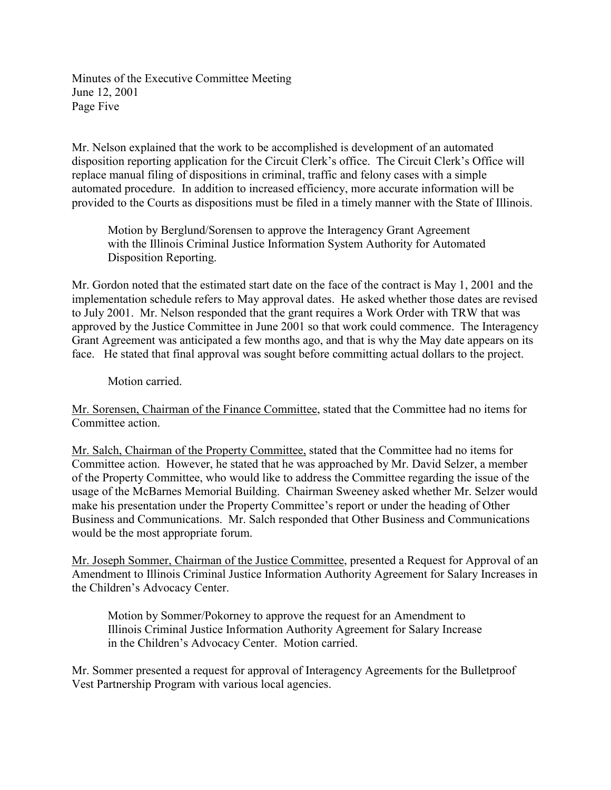Minutes of the Executive Committee Meeting June 12, 2001 Page Five

Mr. Nelson explained that the work to be accomplished is development of an automated disposition reporting application for the Circuit Clerk's office. The Circuit Clerk's Office will replace manual filing of dispositions in criminal, traffic and felony cases with a simple automated procedure. In addition to increased efficiency, more accurate information will be provided to the Courts as dispositions must be filed in a timely manner with the State of Illinois.

Motion by Berglund/Sorensen to approve the Interagency Grant Agreement with the Illinois Criminal Justice Information System Authority for Automated Disposition Reporting.

Mr. Gordon noted that the estimated start date on the face of the contract is May 1, 2001 and the implementation schedule refers to May approval dates. He asked whether those dates are revised to July 2001. Mr. Nelson responded that the grant requires a Work Order with TRW that was approved by the Justice Committee in June 2001 so that work could commence. The Interagency Grant Agreement was anticipated a few months ago, and that is why the May date appears on its face. He stated that final approval was sought before committing actual dollars to the project.

Motion carried.

Mr. Sorensen, Chairman of the Finance Committee, stated that the Committee had no items for Committee action.

Mr. Salch, Chairman of the Property Committee, stated that the Committee had no items for Committee action. However, he stated that he was approached by Mr. David Selzer, a member of the Property Committee, who would like to address the Committee regarding the issue of the usage of the McBarnes Memorial Building. Chairman Sweeney asked whether Mr. Selzer would make his presentation under the Property Committee's report or under the heading of Other Business and Communications. Mr. Salch responded that Other Business and Communications would be the most appropriate forum.

Mr. Joseph Sommer, Chairman of the Justice Committee, presented a Request for Approval of an Amendment to Illinois Criminal Justice Information Authority Agreement for Salary Increases in the Children's Advocacy Center.

Motion by Sommer/Pokorney to approve the request for an Amendment to Illinois Criminal Justice Information Authority Agreement for Salary Increase in the Children's Advocacy Center. Motion carried.

Mr. Sommer presented a request for approval of Interagency Agreements for the Bulletproof Vest Partnership Program with various local agencies.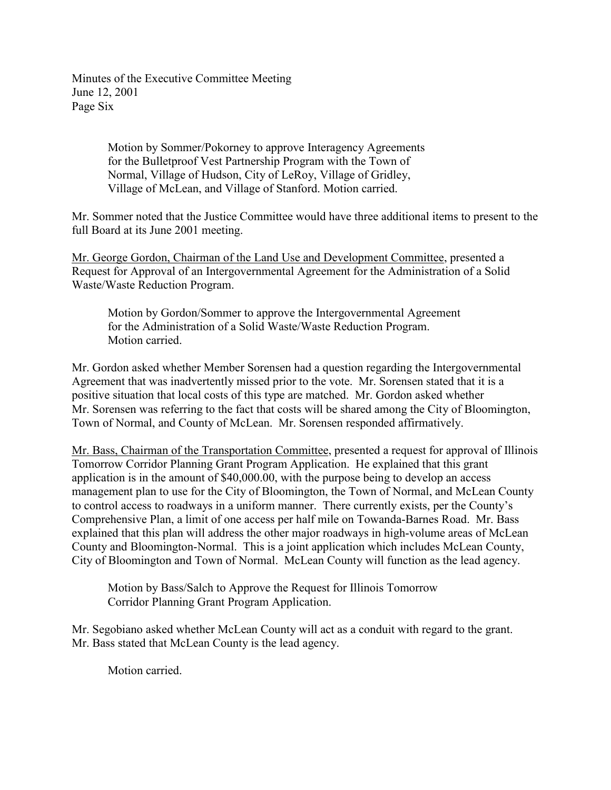Minutes of the Executive Committee Meeting June 12, 2001 Page Six

> Motion by Sommer/Pokorney to approve Interagency Agreements for the Bulletproof Vest Partnership Program with the Town of Normal, Village of Hudson, City of LeRoy, Village of Gridley, Village of McLean, and Village of Stanford. Motion carried.

Mr. Sommer noted that the Justice Committee would have three additional items to present to the full Board at its June 2001 meeting.

Mr. George Gordon, Chairman of the Land Use and Development Committee, presented a Request for Approval of an Intergovernmental Agreement for the Administration of a Solid Waste/Waste Reduction Program.

Motion by Gordon/Sommer to approve the Intergovernmental Agreement for the Administration of a Solid Waste/Waste Reduction Program. Motion carried.

Mr. Gordon asked whether Member Sorensen had a question regarding the Intergovernmental Agreement that was inadvertently missed prior to the vote. Mr. Sorensen stated that it is a positive situation that local costs of this type are matched. Mr. Gordon asked whether Mr. Sorensen was referring to the fact that costs will be shared among the City of Bloomington, Town of Normal, and County of McLean. Mr. Sorensen responded affirmatively.

Mr. Bass, Chairman of the Transportation Committee, presented a request for approval of Illinois Tomorrow Corridor Planning Grant Program Application. He explained that this grant application is in the amount of \$40,000.00, with the purpose being to develop an access management plan to use for the City of Bloomington, the Town of Normal, and McLean County to control access to roadways in a uniform manner. There currently exists, per the County's Comprehensive Plan, a limit of one access per half mile on Towanda-Barnes Road. Mr. Bass explained that this plan will address the other major roadways in high-volume areas of McLean County and Bloomington-Normal. This is a joint application which includes McLean County, City of Bloomington and Town of Normal. McLean County will function as the lead agency.

Motion by Bass/Salch to Approve the Request for Illinois Tomorrow Corridor Planning Grant Program Application.

Mr. Segobiano asked whether McLean County will act as a conduit with regard to the grant. Mr. Bass stated that McLean County is the lead agency.

Motion carried.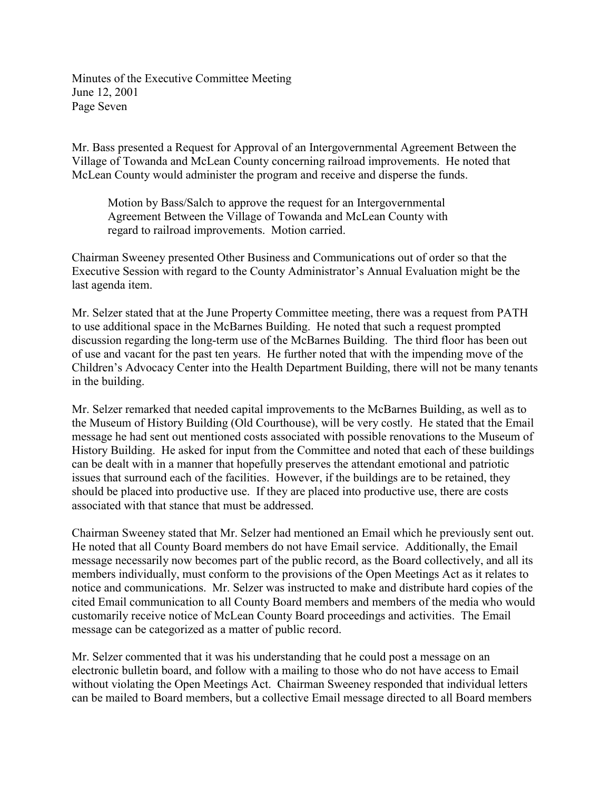Minutes of the Executive Committee Meeting June 12, 2001 Page Seven

Mr. Bass presented a Request for Approval of an Intergovernmental Agreement Between the Village of Towanda and McLean County concerning railroad improvements. He noted that McLean County would administer the program and receive and disperse the funds.

Motion by Bass/Salch to approve the request for an Intergovernmental Agreement Between the Village of Towanda and McLean County with regard to railroad improvements. Motion carried.

Chairman Sweeney presented Other Business and Communications out of order so that the Executive Session with regard to the County Administrator's Annual Evaluation might be the last agenda item.

Mr. Selzer stated that at the June Property Committee meeting, there was a request from PATH to use additional space in the McBarnes Building. He noted that such a request prompted discussion regarding the long-term use of the McBarnes Building. The third floor has been out of use and vacant for the past ten years. He further noted that with the impending move of the Children's Advocacy Center into the Health Department Building, there will not be many tenants in the building.

Mr. Selzer remarked that needed capital improvements to the McBarnes Building, as well as to the Museum of History Building (Old Courthouse), will be very costly. He stated that the Email message he had sent out mentioned costs associated with possible renovations to the Museum of History Building. He asked for input from the Committee and noted that each of these buildings can be dealt with in a manner that hopefully preserves the attendant emotional and patriotic issues that surround each of the facilities. However, if the buildings are to be retained, they should be placed into productive use. If they are placed into productive use, there are costs associated with that stance that must be addressed.

Chairman Sweeney stated that Mr. Selzer had mentioned an Email which he previously sent out. He noted that all County Board members do not have Email service. Additionally, the Email message necessarily now becomes part of the public record, as the Board collectively, and all its members individually, must conform to the provisions of the Open Meetings Act as it relates to notice and communications. Mr. Selzer was instructed to make and distribute hard copies of the cited Email communication to all County Board members and members of the media who would customarily receive notice of McLean County Board proceedings and activities. The Email message can be categorized as a matter of public record.

Mr. Selzer commented that it was his understanding that he could post a message on an electronic bulletin board, and follow with a mailing to those who do not have access to Email without violating the Open Meetings Act. Chairman Sweeney responded that individual letters can be mailed to Board members, but a collective Email message directed to all Board members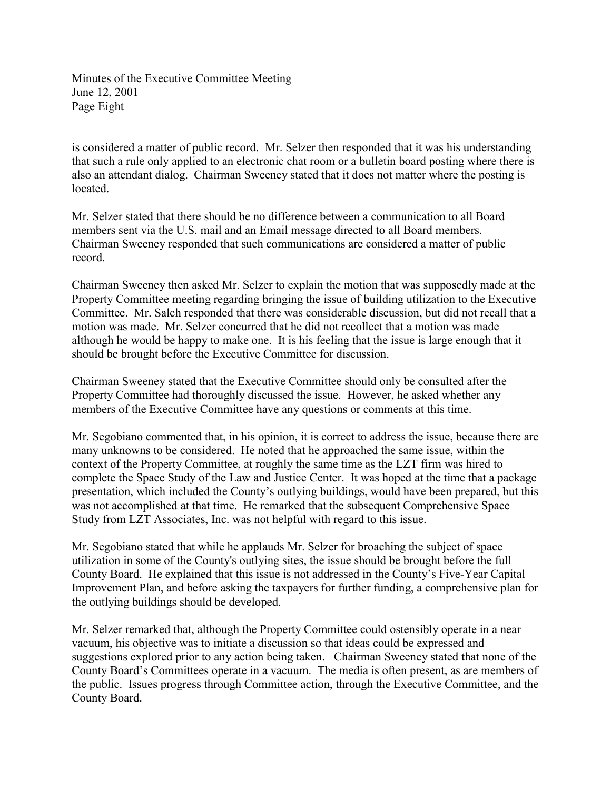Minutes of the Executive Committee Meeting June 12, 2001 Page Eight

is considered a matter of public record. Mr. Selzer then responded that it was his understanding that such a rule only applied to an electronic chat room or a bulletin board posting where there is also an attendant dialog. Chairman Sweeney stated that it does not matter where the posting is located.

Mr. Selzer stated that there should be no difference between a communication to all Board members sent via the U.S. mail and an Email message directed to all Board members. Chairman Sweeney responded that such communications are considered a matter of public record.

Chairman Sweeney then asked Mr. Selzer to explain the motion that was supposedly made at the Property Committee meeting regarding bringing the issue of building utilization to the Executive Committee. Mr. Salch responded that there was considerable discussion, but did not recall that a motion was made. Mr. Selzer concurred that he did not recollect that a motion was made although he would be happy to make one. It is his feeling that the issue is large enough that it should be brought before the Executive Committee for discussion.

Chairman Sweeney stated that the Executive Committee should only be consulted after the Property Committee had thoroughly discussed the issue. However, he asked whether any members of the Executive Committee have any questions or comments at this time.

Mr. Segobiano commented that, in his opinion, it is correct to address the issue, because there are many unknowns to be considered. He noted that he approached the same issue, within the context of the Property Committee, at roughly the same time as the LZT firm was hired to complete the Space Study of the Law and Justice Center. It was hoped at the time that a package presentation, which included the County's outlying buildings, would have been prepared, but this was not accomplished at that time. He remarked that the subsequent Comprehensive Space Study from LZT Associates, Inc. was not helpful with regard to this issue.

Mr. Segobiano stated that while he applauds Mr. Selzer for broaching the subject of space utilization in some of the County's outlying sites, the issue should be brought before the full County Board. He explained that this issue is not addressed in the County's Five-Year Capital Improvement Plan, and before asking the taxpayers for further funding, a comprehensive plan for the outlying buildings should be developed.

Mr. Selzer remarked that, although the Property Committee could ostensibly operate in a near vacuum, his objective was to initiate a discussion so that ideas could be expressed and suggestions explored prior to any action being taken. Chairman Sweeney stated that none of the County Board's Committees operate in a vacuum. The media is often present, as are members of the public. Issues progress through Committee action, through the Executive Committee, and the County Board.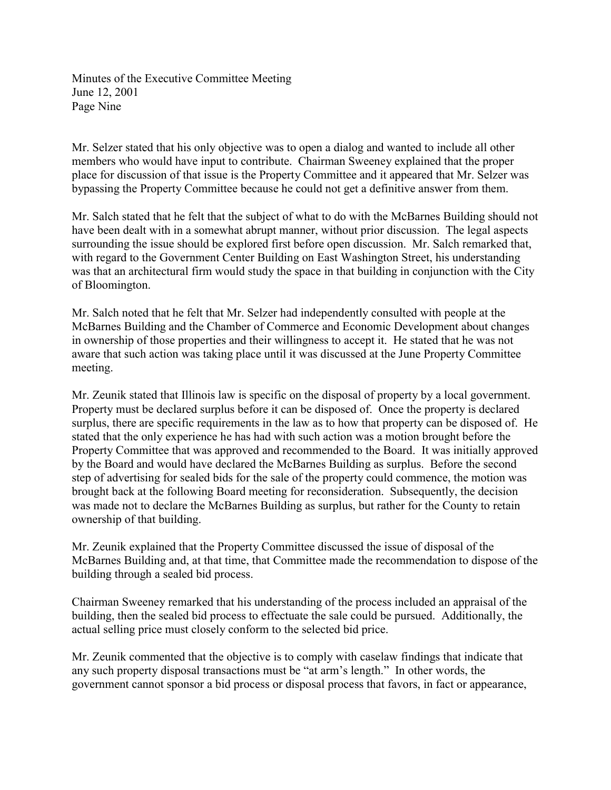Minutes of the Executive Committee Meeting June 12, 2001 Page Nine

Mr. Selzer stated that his only objective was to open a dialog and wanted to include all other members who would have input to contribute. Chairman Sweeney explained that the proper place for discussion of that issue is the Property Committee and it appeared that Mr. Selzer was bypassing the Property Committee because he could not get a definitive answer from them.

Mr. Salch stated that he felt that the subject of what to do with the McBarnes Building should not have been dealt with in a somewhat abrupt manner, without prior discussion. The legal aspects surrounding the issue should be explored first before open discussion. Mr. Salch remarked that, with regard to the Government Center Building on East Washington Street, his understanding was that an architectural firm would study the space in that building in conjunction with the City of Bloomington.

Mr. Salch noted that he felt that Mr. Selzer had independently consulted with people at the McBarnes Building and the Chamber of Commerce and Economic Development about changes in ownership of those properties and their willingness to accept it. He stated that he was not aware that such action was taking place until it was discussed at the June Property Committee meeting.

Mr. Zeunik stated that Illinois law is specific on the disposal of property by a local government. Property must be declared surplus before it can be disposed of. Once the property is declared surplus, there are specific requirements in the law as to how that property can be disposed of. He stated that the only experience he has had with such action was a motion brought before the Property Committee that was approved and recommended to the Board. It was initially approved by the Board and would have declared the McBarnes Building as surplus. Before the second step of advertising for sealed bids for the sale of the property could commence, the motion was brought back at the following Board meeting for reconsideration. Subsequently, the decision was made not to declare the McBarnes Building as surplus, but rather for the County to retain ownership of that building.

Mr. Zeunik explained that the Property Committee discussed the issue of disposal of the McBarnes Building and, at that time, that Committee made the recommendation to dispose of the building through a sealed bid process.

Chairman Sweeney remarked that his understanding of the process included an appraisal of the building, then the sealed bid process to effectuate the sale could be pursued. Additionally, the actual selling price must closely conform to the selected bid price.

Mr. Zeunik commented that the objective is to comply with caselaw findings that indicate that any such property disposal transactions must be "at arm's length." In other words, the government cannot sponsor a bid process or disposal process that favors, in fact or appearance,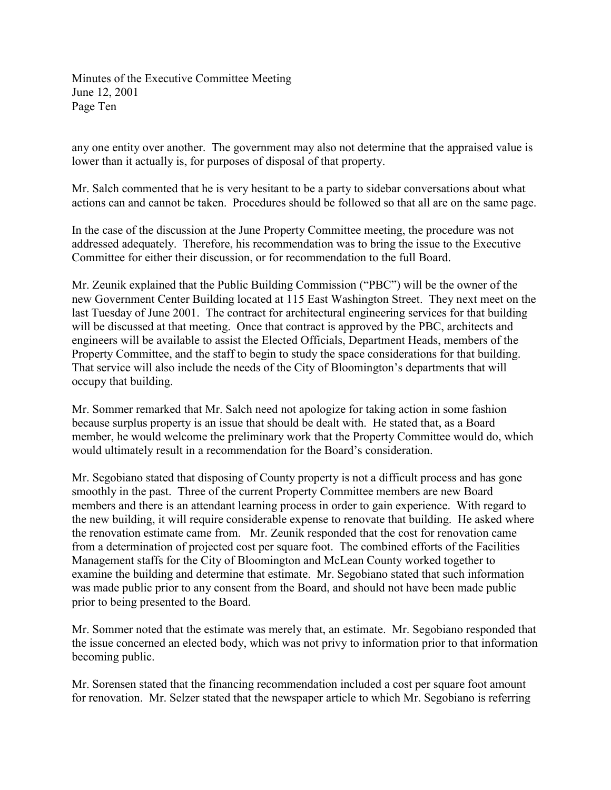Minutes of the Executive Committee Meeting June 12, 2001 Page Ten

any one entity over another. The government may also not determine that the appraised value is lower than it actually is, for purposes of disposal of that property.

Mr. Salch commented that he is very hesitant to be a party to sidebar conversations about what actions can and cannot be taken. Procedures should be followed so that all are on the same page.

In the case of the discussion at the June Property Committee meeting, the procedure was not addressed adequately. Therefore, his recommendation was to bring the issue to the Executive Committee for either their discussion, or for recommendation to the full Board.

Mr. Zeunik explained that the Public Building Commission ("PBC") will be the owner of the new Government Center Building located at 115 East Washington Street. They next meet on the last Tuesday of June 2001. The contract for architectural engineering services for that building will be discussed at that meeting. Once that contract is approved by the PBC, architects and engineers will be available to assist the Elected Officials, Department Heads, members of the Property Committee, and the staff to begin to study the space considerations for that building. That service will also include the needs of the City of Bloomington's departments that will occupy that building.

Mr. Sommer remarked that Mr. Salch need not apologize for taking action in some fashion because surplus property is an issue that should be dealt with. He stated that, as a Board member, he would welcome the preliminary work that the Property Committee would do, which would ultimately result in a recommendation for the Board's consideration.

Mr. Segobiano stated that disposing of County property is not a difficult process and has gone smoothly in the past. Three of the current Property Committee members are new Board members and there is an attendant learning process in order to gain experience. With regard to the new building, it will require considerable expense to renovate that building. He asked where the renovation estimate came from. Mr. Zeunik responded that the cost for renovation came from a determination of projected cost per square foot. The combined efforts of the Facilities Management staffs for the City of Bloomington and McLean County worked together to examine the building and determine that estimate. Mr. Segobiano stated that such information was made public prior to any consent from the Board, and should not have been made public prior to being presented to the Board.

Mr. Sommer noted that the estimate was merely that, an estimate. Mr. Segobiano responded that the issue concerned an elected body, which was not privy to information prior to that information becoming public.

Mr. Sorensen stated that the financing recommendation included a cost per square foot amount for renovation. Mr. Selzer stated that the newspaper article to which Mr. Segobiano is referring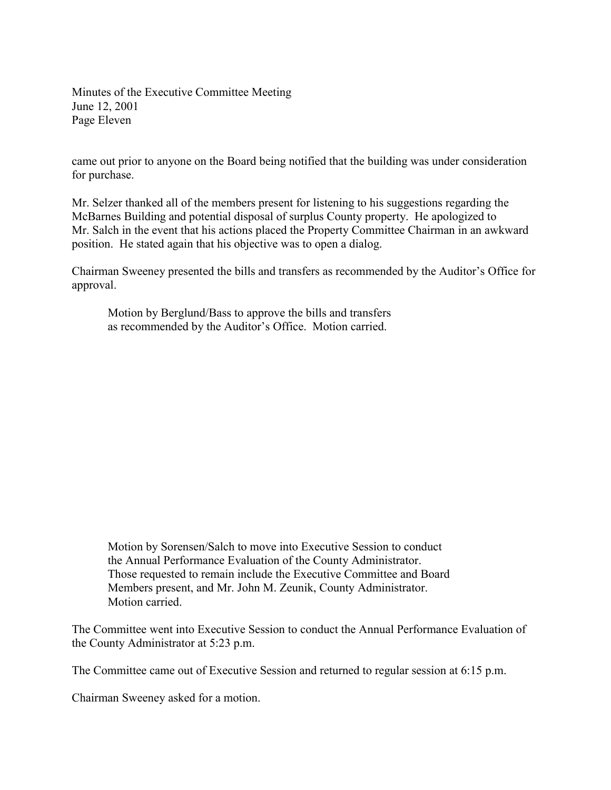Minutes of the Executive Committee Meeting June 12, 2001 Page Eleven

came out prior to anyone on the Board being notified that the building was under consideration for purchase.

Mr. Selzer thanked all of the members present for listening to his suggestions regarding the McBarnes Building and potential disposal of surplus County property. He apologized to Mr. Salch in the event that his actions placed the Property Committee Chairman in an awkward position. He stated again that his objective was to open a dialog.

Chairman Sweeney presented the bills and transfers as recommended by the Auditor's Office for approval.

Motion by Berglund/Bass to approve the bills and transfers as recommended by the Auditor's Office. Motion carried.

Motion by Sorensen/Salch to move into Executive Session to conduct the Annual Performance Evaluation of the County Administrator. Those requested to remain include the Executive Committee and Board Members present, and Mr. John M. Zeunik, County Administrator. Motion carried.

The Committee went into Executive Session to conduct the Annual Performance Evaluation of the County Administrator at 5:23 p.m.

The Committee came out of Executive Session and returned to regular session at 6:15 p.m.

Chairman Sweeney asked for a motion.